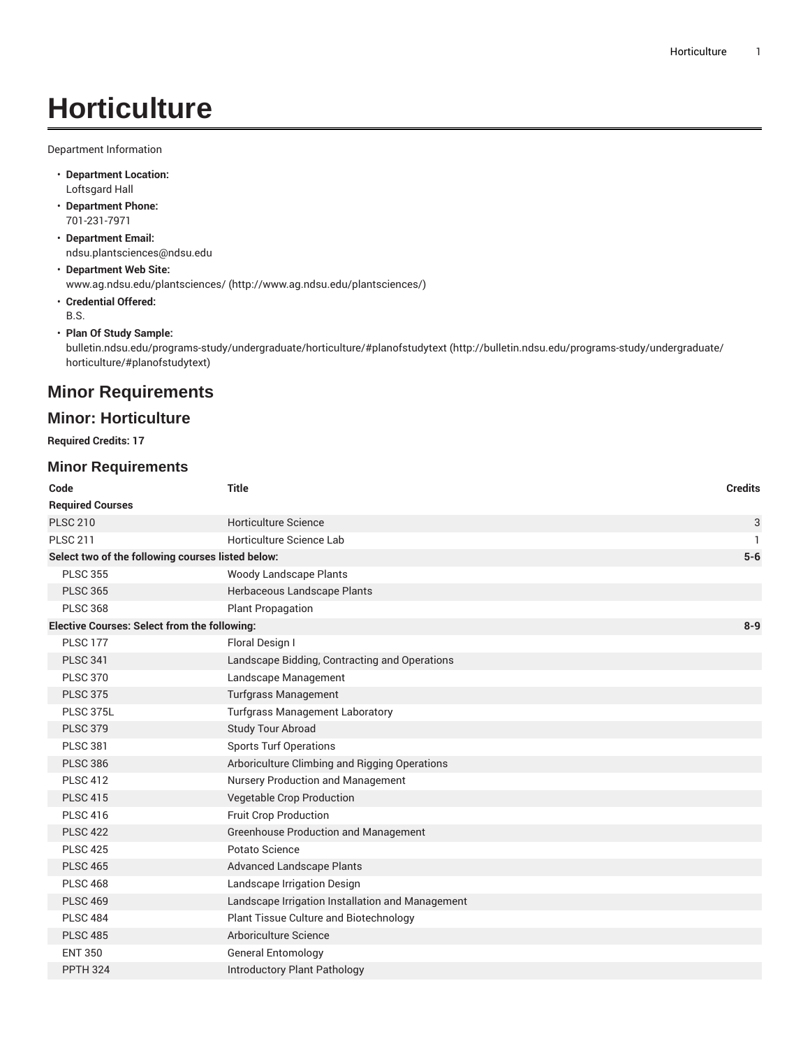# **Horticulture**

Department Information

- **Department Location:** Loftsgard Hall
- **Department Phone:** 701-231-7971
- **Department Email:** [ndsu.plantsciences@ndsu.edu](mailto:ndsu.plantsciences@ndsu.edu)
- **Department Web Site:** [www.ag.ndsu.edu/plantsciences/ \(http://www.ag.ndsu.edu/plantsciences/\)](http://www.ag.ndsu.edu/plantsciences/)
- **Credential Offered:** B.S.
- **Plan Of Study Sample:**

[bulletin.ndsu.edu/programs-study/undergraduate/horticulture/#planofstudytext](http://bulletin.ndsu.edu/programs-study/undergraduate/horticulture/#planofstudytext) ([http://bulletin.ndsu.edu/programs-study/undergraduate/](http://bulletin.ndsu.edu/programs-study/undergraduate/horticulture/#planofstudytext) [horticulture/#planofstudytext\)](http://bulletin.ndsu.edu/programs-study/undergraduate/horticulture/#planofstudytext)

### **Minor Requirements**

#### **Minor: Horticulture**

**Required Credits: 17**

#### **Minor Requirements**

| Code                                                           | <b>Title</b>                                     | <b>Credits</b> |
|----------------------------------------------------------------|--------------------------------------------------|----------------|
| <b>Required Courses</b>                                        |                                                  |                |
| <b>PLSC 210</b>                                                | Horticulture Science                             | 3              |
| <b>PLSC 211</b>                                                | Horticulture Science Lab                         | 1              |
| Select two of the following courses listed below:              |                                                  | $5-6$          |
| <b>PLSC 355</b>                                                | <b>Woody Landscape Plants</b>                    |                |
| <b>PLSC 365</b>                                                | Herbaceous Landscape Plants                      |                |
| <b>PLSC 368</b>                                                | <b>Plant Propagation</b>                         |                |
| <b>Elective Courses: Select from the following:</b><br>$8 - 9$ |                                                  |                |
| <b>PLSC 177</b>                                                | Floral Design I                                  |                |
| <b>PLSC 341</b>                                                | Landscape Bidding, Contracting and Operations    |                |
| <b>PLSC 370</b>                                                | Landscape Management                             |                |
| <b>PLSC 375</b>                                                | <b>Turfgrass Management</b>                      |                |
| PLSC 375L                                                      | <b>Turfgrass Management Laboratory</b>           |                |
| <b>PLSC 379</b>                                                | <b>Study Tour Abroad</b>                         |                |
| <b>PLSC 381</b>                                                | <b>Sports Turf Operations</b>                    |                |
| <b>PLSC 386</b>                                                | Arboriculture Climbing and Rigging Operations    |                |
| <b>PLSC 412</b>                                                | Nursery Production and Management                |                |
| <b>PLSC 415</b>                                                | <b>Vegetable Crop Production</b>                 |                |
| <b>PLSC 416</b>                                                | <b>Fruit Crop Production</b>                     |                |
| <b>PLSC 422</b>                                                | <b>Greenhouse Production and Management</b>      |                |
| <b>PLSC 425</b>                                                | Potato Science                                   |                |
| <b>PLSC 465</b>                                                | <b>Advanced Landscape Plants</b>                 |                |
| <b>PLSC 468</b>                                                | Landscape Irrigation Design                      |                |
| <b>PLSC 469</b>                                                | Landscape Irrigation Installation and Management |                |
| <b>PLSC 484</b>                                                | Plant Tissue Culture and Biotechnology           |                |
| <b>PLSC 485</b>                                                | Arboriculture Science                            |                |
| <b>ENT 350</b>                                                 | <b>General Entomology</b>                        |                |
| <b>PPTH 324</b>                                                | Introductory Plant Pathology                     |                |
|                                                                |                                                  |                |